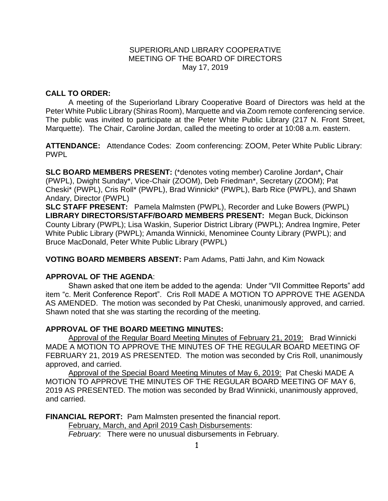## SUPERIORLAND LIBRARY COOPERATIVE MEETING OF THE BOARD OF DIRECTORS May 17, 2019

# **CALL TO ORDER:**

A meeting of the Superiorland Library Cooperative Board of Directors was held at the Peter White Public Library (Shiras Room), Marquette and via Zoom remote conferencing service. The public was invited to participate at the Peter White Public Library (217 N. Front Street, Marquette). The Chair, Caroline Jordan, called the meeting to order at 10:08 a.m. eastern.

**ATTENDANCE:** Attendance Codes: Zoom conferencing: ZOOM, Peter White Public Library: PWPL

**SLC BOARD MEMBERS PRESENT:** (\*denotes voting member) Caroline Jordan\***,** Chair (PWPL), Dwight Sunday\*, Vice-Chair (ZOOM), Deb Friedman\*, Secretary (ZOOM); Pat Cheski\* (PWPL), Cris Roll\* (PWPL), Brad Winnicki\* (PWPL), Barb Rice (PWPL), and Shawn Andary, Director (PWPL)

**SLC STAFF PRESENT:** Pamela Malmsten (PWPL), Recorder and Luke Bowers (PWPL) **LIBRARY DIRECTORS/STAFF/BOARD MEMBERS PRESENT:** Megan Buck, Dickinson County Library (PWPL); Lisa Waskin, Superior District Library (PWPL); Andrea Ingmire, Peter White Public Library (PWPL); Amanda Winnicki, Menominee County Library (PWPL); and Bruce MacDonald, Peter White Public Library (PWPL)

**VOTING BOARD MEMBERS ABSENT:** Pam Adams, Patti Jahn, and Kim Nowack

## **APPROVAL OF THE AGENDA**:

Shawn asked that one item be added to the agenda: Under "VII Committee Reports" add item "c. Merit Conference Report". Cris Roll MADE A MOTION TO APPROVE THE AGENDA AS AMENDED. The motion was seconded by Pat Cheski, unanimously approved, and carried. Shawn noted that she was starting the recording of the meeting.

## **APPROVAL OF THE BOARD MEETING MINUTES:**

Approval of the Regular Board Meeting Minutes of February 21, 2019: Brad Winnicki MADE A MOTION TO APPROVE THE MINUTES OF THE REGULAR BOARD MEETING OF FEBRUARY 21, 2019 AS PRESENTED.The motion was seconded by Cris Roll, unanimously approved, and carried.

Approval of the Special Board Meeting Minutes of May 6, 2019: Pat Cheski MADE A MOTION TO APPROVE THE MINUTES OF THE REGULAR BOARD MEETING OF MAY 6, 2019 AS PRESENTED. The motion was seconded by Brad Winnicki, unanimously approved, and carried.

**FINANCIAL REPORT:** Pam Malmsten presented the financial report. February, March, and April 2019 Cash Disbursements:

*February*: There were no unusual disbursements in February.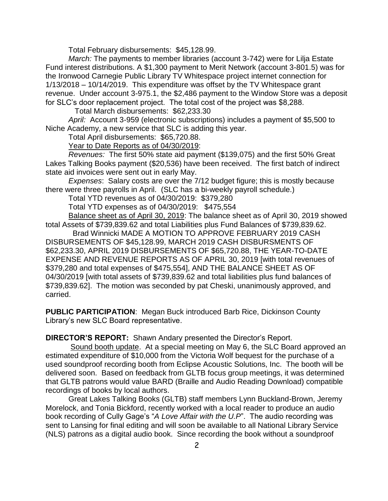Total February disbursements: \$45,128.99.

*March:* The payments to member libraries (account 3-742) were for Lilja Estate Fund interest distributions. A \$1,300 payment to Merit Network (account 3-801.5) was for the Ironwood Carnegie Public Library TV Whitespace project internet connection for 1/13/2018 – 10/14/2019. This expenditure was offset by the TV Whitespace grant revenue. Under account 3-975.1, the \$2,486 payment to the Window Store was a deposit for SLC's door replacement project. The total cost of the project was \$8,288.

Total March disbursements: \$62,233.30

*April:* Account 3-959 (electronic subscriptions) includes a payment of \$5,500 to Niche Academy, a new service that SLC is adding this year.

Total April disbursements: \$65,720.88.

Year to Date Reports as of 04/30/2019:

*Revenues:* The first 50% state aid payment (\$139,075) and the first 50% Great Lakes Talking Books payment (\$20,536) have been received. The first batch of indirect state aid invoices were sent out in early May.

*Expenses*: Salary costs are over the 7/12 budget figure; this is mostly because there were three payrolls in April. (SLC has a bi-weekly payroll schedule.)

Total YTD revenues as of 04/30/2019: \$379,280

Total YTD expenses as of 04/30/2019: \$475,554

Balance sheet as of April 30, 2019: The balance sheet as of April 30, 2019 showed total Assets of \$739,839.62 and total Liabilities plus Fund Balances of \$739,839.62.

 Brad Winnicki MADE A MOTION TO APPROVE FEBRUARY 2019 CASH DISBURSEMENTS OF \$45,128.99, MARCH 2019 CASH DISBURSMENTS OF \$62,233.30, APRIL 2019 DISBURSEMENTS OF \$65,720.88, THE YEAR-TO-DATE EXPENSE AND REVENUE REPORTS AS OF APRIL 30, 2019 [with total revenues of \$379,280 and total expenses of \$475,554], AND THE BALANCE SHEET AS OF 04/30/2019 [with total assets of \$739,839.62 and total liabilities plus fund balances of \$739,839.62]. The motion was seconded by pat Cheski, unanimously approved, and carried.

**PUBLIC PARTICIPATION**: Megan Buck introduced Barb Rice, Dickinson County Library's new SLC Board representative.

**DIRECTOR'S REPORT:** Shawn Andary presented the Director's Report.

Sound booth update. At a special meeting on May 6, the SLC Board approved an estimated expenditure of \$10,000 from the Victoria Wolf bequest for the purchase of a used soundproof recording booth from Eclipse Acoustic Solutions, Inc. The booth will be delivered soon. Based on feedback from GLTB focus group meetings, it was determined that GLTB patrons would value BARD (Braille and Audio Reading Download) compatible recordings of books by local authors.

Great Lakes Talking Books (GLTB) staff members Lynn Buckland-Brown, Jeremy Morelock, and Tonia Bickford, recently worked with a local reader to produce an audio book recording of Cully Gage's "*A Love Affair with the U.P*". The audio recording was sent to Lansing for final editing and will soon be available to all National Library Service (NLS) patrons as a digital audio book. Since recording the book without a soundproof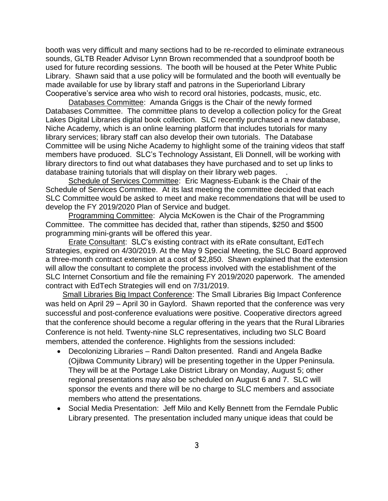booth was very difficult and many sections had to be re-recorded to eliminate extraneous sounds, GLTB Reader Advisor Lynn Brown recommended that a soundproof booth be used for future recording sessions. The booth will be housed at the Peter White Public Library. Shawn said that a use policy will be formulated and the booth will eventually be made available for use by library staff and patrons in the Superiorland Library Cooperative's service area who wish to record oral histories, podcasts, music, etc.

Databases Committee: Amanda Griggs is the Chair of the newly formed Databases Committee. The committee plans to develop a collection policy for the Great Lakes Digital Libraries digital book collection. SLC recently purchased a new database, Niche Academy, which is an online learning platform that includes tutorials for many library services; library staff can also develop their own tutorials. The Database Committee will be using Niche Academy to highlight some of the training videos that staff members have produced. SLC's Technology Assistant, Eli Donnell, will be working with library directors to find out what databases they have purchased and to set up links to database training tutorials that will display on their library web pages. .

Schedule of Services Committee: Eric Magness-Eubank is the Chair of the Schedule of Services Committee. At its last meeting the committee decided that each SLC Committee would be asked to meet and make recommendations that will be used to develop the FY 2019/2020 Plan of Service and budget.

Programming Committee: Alycia McKowen is the Chair of the Programming Committee. The committee has decided that, rather than stipends, \$250 and \$500 programming mini-grants will be offered this year.

Erate Consultant: SLC's existing contract with its eRate consultant, EdTech Strategies, expired on 4/30/2019. At the May 9 Special Meeting, the SLC Board approved a three-month contract extension at a cost of \$2,850. Shawn explained that the extension will allow the consultant to complete the process involved with the establishment of the SLC Internet Consortium and file the remaining FY 2019/2020 paperwork. The amended contract with EdTech Strategies will end on 7/31/2019.

 Small Libraries Big Impact Conference: The Small Libraries Big Impact Conference was held on April 29 – April 30 in Gaylord. Shawn reported that the conference was very successful and post-conference evaluations were positive. Cooperative directors agreed that the conference should become a regular offering in the years that the Rural Libraries Conference is not held. Twenty-nine SLC representatives, including two SLC Board members, attended the conference. Highlights from the sessions included:

- Decolonizing Libraries Randi Dalton presented. Randi and Angela Badke (Ojibwa Community Library) will be presenting together in the Upper Peninsula. They will be at the Portage Lake District Library on Monday, August 5; other regional presentations may also be scheduled on August 6 and 7. SLC will sponsor the events and there will be no charge to SLC members and associate members who attend the presentations.
- Social Media Presentation: Jeff Milo and Kelly Bennett from the Ferndale Public Library presented. The presentation included many unique ideas that could be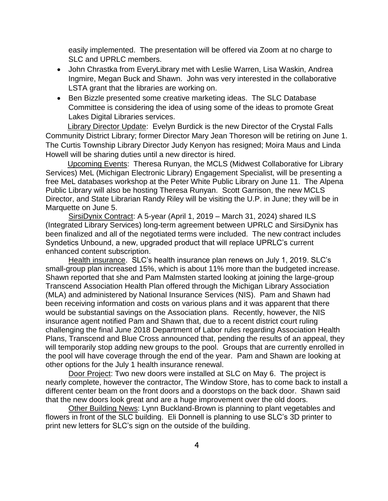easily implemented. The presentation will be offered via Zoom at no charge to SLC and UPRLC members.

- John Chrastka from EveryLibrary met with Leslie Warren, Lisa Waskin, Andrea Ingmire, Megan Buck and Shawn. John was very interested in the collaborative LSTA grant that the libraries are working on.
- Ben Bizzle presented some creative marketing ideas. The SLC Database Committee is considering the idea of using some of the ideas to promote Great Lakes Digital Libraries services.

 Library Director Update: Evelyn Burdick is the new Director of the Crystal Falls Community District Library; former Director Mary Jean Thoreson will be retiring on June 1. The Curtis Township Library Director Judy Kenyon has resigned; Moira Maus and Linda Howell will be sharing duties until a new director is hired.

 Upcoming Events: Theresa Runyan, the MCLS (Midwest Collaborative for Library Services) MeL (Michigan Electronic Library) Engagement Specialist, will be presenting a free MeL databases workshop at the Peter White Public Library on June 11. The Alpena Public Library will also be hosting Theresa Runyan. Scott Garrison, the new MCLS Director, and State Librarian Randy Riley will be visiting the U.P. in June; they will be in Marquette on June 5.

SirsiDynix Contract: A 5-year (April 1, 2019 – March 31, 2024) shared ILS (Integrated Library Services) long-term agreement between UPRLC and SirsiDynix has been finalized and all of the negotiated terms were included. The new contract includes Syndetics Unbound, a new, upgraded product that will replace UPRLC's current enhanced content subscription.

Health insurance. SLC's health insurance plan renews on July 1, 2019. SLC's small-group plan increased 15%, which is about 11% more than the budgeted increase. Shawn reported that she and Pam Malmsten started looking at joining the large-group Transcend Association Health Plan offered through the Michigan Library Association (MLA) and administered by National Insurance Services (NIS). Pam and Shawn had been receiving information and costs on various plans and it was apparent that there would be substantial savings on the Association plans. Recently, however, the NIS insurance agent notified Pam and Shawn that, due to a recent district court ruling challenging the final June 2018 Department of Labor rules regarding Association Health Plans, Transcend and Blue Cross announced that, pending the results of an appeal, they will temporarily stop adding new groups to the pool. Groups that are currently enrolled in the pool will have coverage through the end of the year. Pam and Shawn are looking at other options for the July 1 health insurance renewal.

Door Project: Two new doors were installed at SLC on May 6. The project is nearly complete, however the contractor, The Window Store, has to come back to install a different center beam on the front doors and a doorstops on the back door. Shawn said that the new doors look great and are a huge improvement over the old doors.

Other Building News: Lynn Buckland-Brown is planning to plant vegetables and flowers in front of the SLC building. Eli Donnell is planning to use SLC's 3D printer to print new letters for SLC's sign on the outside of the building.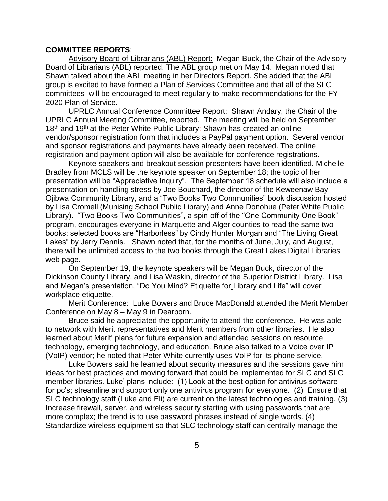## **COMMITTEE REPORTS**:

Advisory Board of Librarians (ABL) Report: Megan Buck, the Chair of the Advisory Board of Librarians (ABL) reported. The ABL group met on May 14. Megan noted that Shawn talked about the ABL meeting in her Directors Report. She added that the ABL group is excited to have formed a Plan of Services Committee and that all of the SLC committees will be encouraged to meet regularly to make recommendations for the FY 2020 Plan of Service.

UPRLC Annual Conference Committee Report: Shawn Andary, the Chair of the UPRLC Annual Meeting Committee, reported. The meeting will be held on September 18<sup>th</sup> and 19<sup>th</sup> at the Peter White Public Library: Shawn has created an online vendor/sponsor registration form that includes a PayPal payment option. Several vendor and sponsor registrations and payments have already been received. The online registration and payment option will also be available for conference registrations.

Keynote speakers and breakout session presenters have been identified. Michelle Bradley from MCLS will be the keynote speaker on September 18; the topic of her presentation will be "Appreciative Inquiry". The September 18 schedule will also include a presentation on handling stress by Joe Bouchard, the director of the Keweenaw Bay Ojibwa Community Library, and a "Two Books Two Communities" book discussion hosted by Lisa Cromell (Munising School Public Library) and Anne Donohue (Peter White Public Library). "Two Books Two Communities", a spin-off of the "One Community One Book" program, encourages everyone in Marquette and Alger counties to read the same two books; selected books are "Harborless" by Cindy Hunter Morgan and "The Living Great Lakes" by Jerry Dennis. Shawn noted that, for the months of June, July, and August, there will be unlimited access to the two books through the Great Lakes Digital Libraries web page.

On September 19, the keynote speakers will be Megan Buck, director of the Dickinson County Library, and Lisa Waskin, director of the Superior District Library. Lisa and Megan's presentation, "Do You Mind? Etiquette for Library and Life" will cover workplace etiquette.

Merit Conference: Luke Bowers and Bruce MacDonald attended the Merit Member Conference on May 8 – May 9 in Dearborn.

Bruce said he appreciated the opportunity to attend the conference. He was able to network with Merit representatives and Merit members from other libraries. He also learned about Merit' plans for future expansion and attended sessions on resource technology, emerging technology, and education. Bruce also talked to a Voice over IP (VoIP) vendor; he noted that Peter White currently uses VoIP for its phone service.

Luke Bowers said he learned about security measures and the sessions gave him ideas for best practices and moving forward that could be implemented for SLC and SLC member libraries. Luke' plans include: (1) Look at the best option for antivirus software for pc's; streamline and support only one antivirus program for everyone. (2) Ensure that SLC technology staff (Luke and Eli) are current on the latest technologies and training. (3) Increase firewall, server, and wireless security starting with using passwords that are more complex; the trend is to use password phrases instead of single words. (4) Standardize wireless equipment so that SLC technology staff can centrally manage the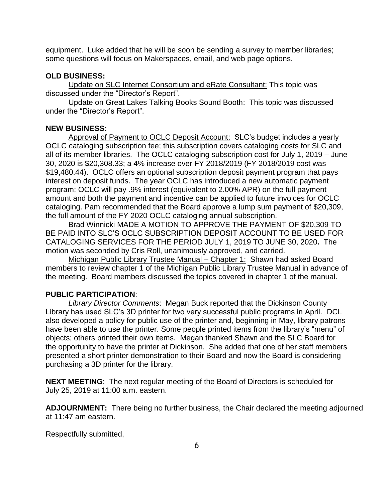equipment. Luke added that he will be soon be sending a survey to member libraries; some questions will focus on Makerspaces, email, and web page options.

#### **OLD BUSINESS:**

Update on SLC Internet Consortium and eRate Consultant: This topic was discussed under the "Director's Report".

Update on Great Lakes Talking Books Sound Booth: This topic was discussed under the "Director's Report".

### **NEW BUSINESS:**

Approval of Payment to OCLC Deposit Account: SLC's budget includes a yearly OCLC cataloging subscription fee; this subscription covers cataloging costs for SLC and all of its member libraries. The OCLC cataloging subscription cost for July 1, 2019 – June 30, 2020 is \$20,308.33; a 4% increase over FY 2018/2019 (FY 2018/2019 cost was \$19,480.44). OCLC offers an optional subscription deposit payment program that pays interest on deposit funds. The year OCLC has introduced a new automatic payment program; OCLC will pay .9% interest (equivalent to 2.00% APR) on the full payment amount and both the payment and incentive can be applied to future invoices for OCLC cataloging. Pam recommended that the Board approve a lump sum payment of \$20,309, the full amount of the FY 2020 OCLC cataloging annual subscription.

Brad Winnicki MADE A MOTION TO APPROVE THE PAYMENT OF \$20,309 TO BE PAID INTO SLC'S OCLC SUBSCRIPTION DEPOSIT ACCOUNT TO BE USED FOR CATALOGING SERVICES FOR THE PERIOD JULY 1, 2019 TO JUNE 30, 2020**.** The motion was seconded by Cris Roll, unanimously approved, and carried.

Michigan Public Library Trustee Manual – Chapter 1: Shawn had asked Board members to review chapter 1 of the Michigan Public Library Trustee Manual in advance of the meeting. Board members discussed the topics covered in chapter 1 of the manual.

#### **PUBLIC PARTICIPATION**:

*Library Director Comments*: Megan Buck reported that the Dickinson County Library has used SLC's 3D printer for two very successful public programs in April. DCL also developed a policy for public use of the printer and, beginning in May, library patrons have been able to use the printer. Some people printed items from the library's "menu" of objects; others printed their own items. Megan thanked Shawn and the SLC Board for the opportunity to have the printer at Dickinson. She added that one of her staff members presented a short printer demonstration to their Board and now the Board is considering purchasing a 3D printer for the library.

**NEXT MEETING**: The next regular meeting of the Board of Directors is scheduled for July 25, 2019 at 11:00 a.m. eastern.

**ADJOURNMENT:** There being no further business, the Chair declared the meeting adjourned at 11:47 am eastern.

Respectfully submitted,